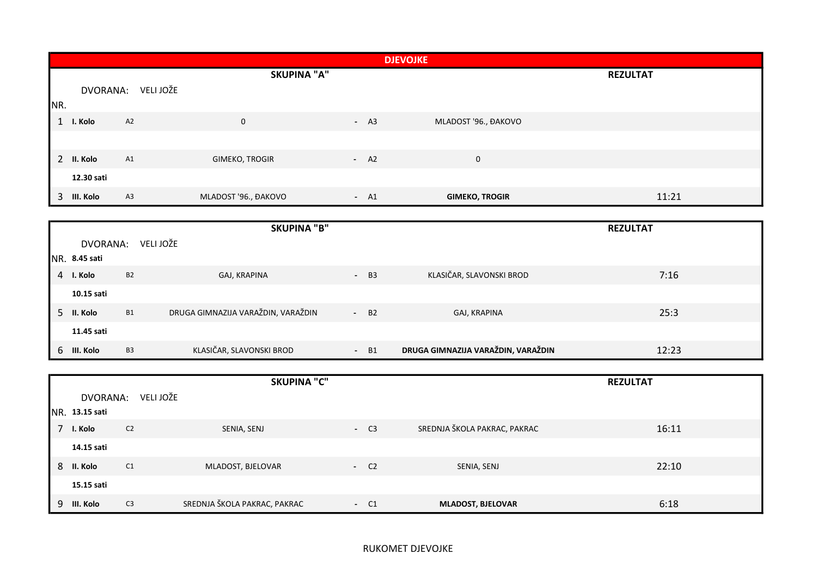|     |             |           |                       | <b>DJEVOJKE</b> |                       |                 |
|-----|-------------|-----------|-----------------------|-----------------|-----------------------|-----------------|
|     |             |           | <b>SKUPINA "A"</b>    |                 |                       | <b>REZULTAT</b> |
|     | DVORANA:    | VELI JOŽE |                       |                 |                       |                 |
| NR. |             |           |                       |                 |                       |                 |
| 1   | I. Kolo     | A2        | $\mathbf 0$           | $- A3$          | MLADOST '96., ĐAKOVO  |                 |
|     |             |           |                       |                 |                       |                 |
|     | 2 II. Kolo  | A1        | <b>GIMEKO, TROGIR</b> | $- A2$          | $\mathbf 0$           |                 |
|     | 12.30 sati  |           |                       |                 |                       |                 |
|     | 3 III. Kolo | A3        | MLADOST '96., ĐAKOVO  | $- A1$          | <b>GIMEKO, TROGIR</b> | 11:21           |

|                 |           | <b>SKUPINA "B"</b>                 |                    |                                    | <b>REZULTAT</b> |
|-----------------|-----------|------------------------------------|--------------------|------------------------------------|-----------------|
| DVORANA:        |           | VELI JOŽE                          |                    |                                    |                 |
| $NR.$ 8.45 sati |           |                                    |                    |                                    |                 |
| 4 I. Kolo       | <b>B2</b> | GAJ, KRAPINA                       | $-B3$              | KLASIČAR, SLAVONSKI BROD           | 7:16            |
| 10.15 sati      |           |                                    |                    |                                    |                 |
| 5 II. Kolo      | <b>B1</b> | DRUGA GIMNAZIJA VARAŽDIN, VARAŽDIN | $-$ B <sub>2</sub> | GAJ, KRAPINA                       | 25:3            |
| 11.45 sati      |           |                                    |                    |                                    |                 |
| 6 III. Kolo     | <b>B3</b> | KLASIČAR, SLAVONSKI BROD           | - B1<br>$\sim$     | DRUGA GIMNAZIJA VARAŽDIN, VARAŽDIN | 12:23           |

|   |                |                | <b>SKUPINA "C"</b>           |       |                              | <b>REZULTAT</b> |
|---|----------------|----------------|------------------------------|-------|------------------------------|-----------------|
|   | DVORANA:       | VELI JOŽE      |                              |       |                              |                 |
|   | NR. 13.15 sati |                |                              |       |                              |                 |
|   | I. Kolo        | C <sub>2</sub> | SENIA, SENJ                  | $-C3$ | SREDNJA ŠKOLA PAKRAC, PAKRAC | 16:11           |
|   | 14.15 sati     |                |                              |       |                              |                 |
| 8 | II. Kolo       | C1             | MLADOST, BJELOVAR            | $-C2$ | SENIA, SENJ                  | 22:10           |
|   | 15.15 sati     |                |                              |       |                              |                 |
|   | 9 III. Kolo    | C <sub>3</sub> | SREDNJA ŠKOLA PAKRAC, PAKRAC | $-C1$ | <b>MLADOST, BJELOVAR</b>     | 6:18            |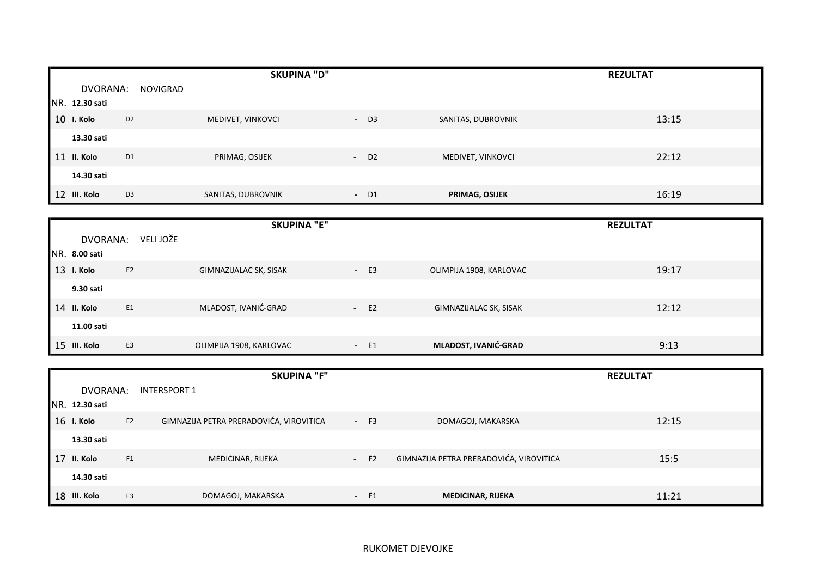|    |                |                | <b>SKUPINA "D"</b> |                    |                    | <b>REZULTAT</b> |
|----|----------------|----------------|--------------------|--------------------|--------------------|-----------------|
|    | DVORANA:       | NOVIGRAD       |                    |                    |                    |                 |
|    | NR. 12.30 sati |                |                    |                    |                    |                 |
|    | 10 I. Kolo     | D <sub>2</sub> | MEDIVET, VINKOVCI  | $-$ D3             | SANITAS, DUBROVNIK | 13:15           |
|    | 13.30 sati     |                |                    |                    |                    |                 |
| 11 | II. Kolo       | D <sub>1</sub> | PRIMAG, OSIJEK     | $-$ D <sub>2</sub> | MEDIVET, VINKOVCI  | 22:12           |
|    | 14.30 sati     |                |                    |                    |                    |                 |
|    | 12 III. Kolo   | D <sub>3</sub> | SANITAS, DUBROVNIK | $-$ D1             | PRIMAG, OSIJEK     | 16:19           |

|               |                | <b>SKUPINA "E"</b>            |        |                         | <b>REZULTAT</b> |
|---------------|----------------|-------------------------------|--------|-------------------------|-----------------|
| DVORANA:      | VELI JOŽE      |                               |        |                         |                 |
| NR. 8.00 sati |                |                               |        |                         |                 |
| 13 I. Kolo    | E <sub>2</sub> | <b>GIMNAZIJALAC SK, SISAK</b> | $- E3$ | OLIMPIJA 1908, KARLOVAC | 19:17           |
| 9.30 sati     |                |                               |        |                         |                 |
| 14 II. Kolo   | E1             | MLADOST, IVANIĆ-GRAD          | $-E2$  | GIMNAZIJALAC SK, SISAK  | 12:12           |
| 11.00 sati    |                |                               |        |                         |                 |
| 15 III. Kolo  | E <sub>3</sub> | OLIMPIJA 1908, KARLOVAC       | $- E1$ | MLADOST, IVANIĆ-GRAD    | 9:13            |

|                       |                | <b>SKUPINA "F"</b>                      |            |                |                                         | <b>REZULTAT</b> |
|-----------------------|----------------|-----------------------------------------|------------|----------------|-----------------------------------------|-----------------|
| DVORANA:              |                | INTERSPORT 1                            |            |                |                                         |                 |
| <b>NR. 12.30 sati</b> |                |                                         |            |                |                                         |                 |
| 16 I. Kolo            | F2             | GIMNAZIJA PETRA PRERADOVIĆA, VIROVITICA | $- F3$     |                | DOMAGOJ, MAKARSKA                       | 12:15           |
| 13.30 sati            |                |                                         |            |                |                                         |                 |
| 17 II. Kolo           | F1             | MEDICINAR, RIJEKA                       | $\sim 100$ | F <sub>2</sub> | GIMNAZIJA PETRA PRERADOVIĆA, VIROVITICA | 15:5            |
| 14.30 sati            |                |                                         |            |                |                                         |                 |
| 18 III. Kolo          | F <sub>3</sub> | DOMAGOJ, MAKARSKA                       | $\sim$     | F1             | <b>MEDICINAR, RIJEKA</b>                | 11:21           |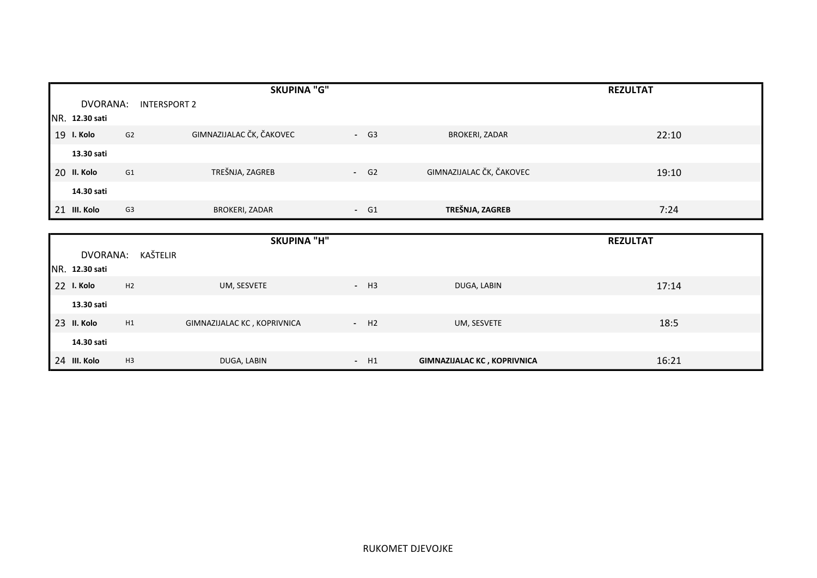|    |                |                | <b>SKUPINA "G"</b>       |        |                          | <b>REZULTAT</b> |
|----|----------------|----------------|--------------------------|--------|--------------------------|-----------------|
|    | DVORANA:       |                | <b>INTERSPORT 2</b>      |        |                          |                 |
|    | NR. 12.30 sati |                |                          |        |                          |                 |
| 19 | I. Kolo        | G2             | GIMNAZIJALAC ČK, ČAKOVEC | $- G3$ | <b>BROKERI, ZADAR</b>    | 22:10           |
|    | 13.30 sati     |                |                          |        |                          |                 |
| 20 | II. Kolo       | G <sub>1</sub> | TREŠNJA, ZAGREB          | $- G2$ | GIMNAZIJALAC ČK, ČAKOVEC | 19:10           |
|    | 14.30 sati     |                |                          |        |                          |                 |
|    | 21 III. Kolo   | G <sub>3</sub> | <b>BROKERI, ZADAR</b>    | $- G1$ | TREŠNJA, ZAGREB          | 7:24            |

|                |                | <b>SKUPINA "H"</b>          |        |                                    | <b>REZULTAT</b> |
|----------------|----------------|-----------------------------|--------|------------------------------------|-----------------|
| DVORANA:       | KAŠTELIR       |                             |        |                                    |                 |
| NR. 12.30 sati |                |                             |        |                                    |                 |
| 22 I. Kolo     | H2             | UM, SESVETE                 | $- H3$ | DUGA, LABIN                        | 17:14           |
| 13.30 sati     |                |                             |        |                                    |                 |
| 23 II. Kolo    | H1             | GIMNAZIJALAC KC, KOPRIVNICA | $- H2$ | UM, SESVETE                        | 18:5            |
| 14.30 sati     |                |                             |        |                                    |                 |
| 24 III. Kolo   | H <sub>3</sub> | DUGA, LABIN                 | $-H1$  | <b>GIMNAZIJALAC KC, KOPRIVNICA</b> | 16:21           |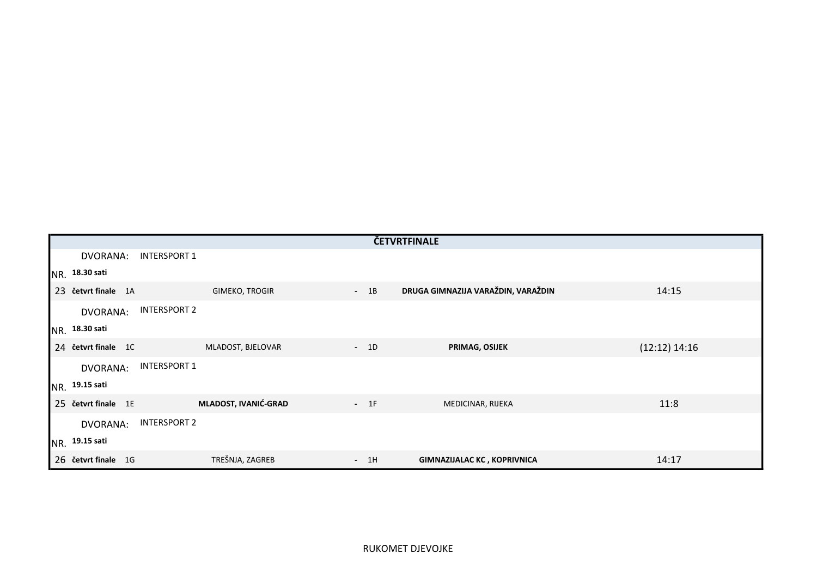|                     |                      |        | ČETVRTFINALE                       |                 |
|---------------------|----------------------|--------|------------------------------------|-----------------|
| DVORANA:            | <b>INTERSPORT 1</b>  |        |                                    |                 |
| NR. 18.30 sati      |                      |        |                                    |                 |
| 23 četvrt finale 1A | GIMEKO, TROGIR       | $-1B$  | DRUGA GIMNAZIJA VARAŽDIN, VARAŽDIN | 14:15           |
| DVORANA:            | <b>INTERSPORT 2</b>  |        |                                    |                 |
| NR. 18.30 sati      |                      |        |                                    |                 |
| 24 četvrt finale 1C | MLADOST, BJELOVAR    | $-1D$  | PRIMAG, OSIJEK                     | $(12:12)$ 14:16 |
| DVORANA:            | INTERSPORT 1         |        |                                    |                 |
| NR. 19.15 sati      |                      |        |                                    |                 |
| 25 četvrt finale 1E | MLADOST, IVANIĆ-GRAD | $-1$ F | MEDICINAR, RIJEKA                  | 11:8            |
| DVORANA:            | <b>INTERSPORT 2</b>  |        |                                    |                 |
| NR. 19.15 sati      |                      |        |                                    |                 |
| 26 četvrt finale 1G | TREŠNJA, ZAGREB      | $-1H$  | <b>GIMNAZIJALAC KC, KOPRIVNICA</b> | 14:17           |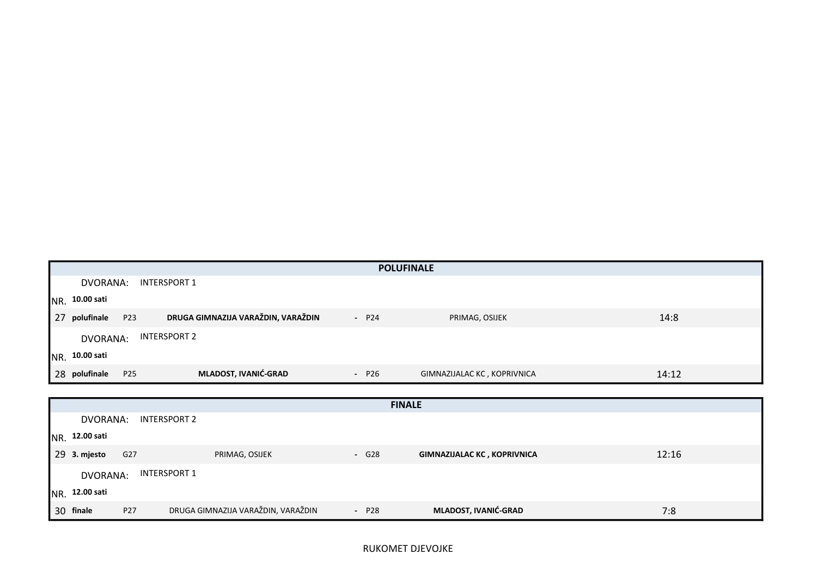|                                                               |         | <b>POLUFINALE</b>           |       |
|---------------------------------------------------------------|---------|-----------------------------|-------|
| DVORANA:<br>INTERSPORT 1                                      |         |                             |       |
| <b>NR.</b> 10.00 sati                                         |         |                             |       |
| DRUGA GIMNAZIJA VARAŽDIN, VARAŽDIN<br>P23<br>27<br>polufinale | $- P24$ | PRIMAG, OSIJEK              | 14:8  |
| INTERSPORT 2<br>DVORANA:                                      |         |                             |       |
| NR. 10.00 sati                                                |         |                             |       |
| MLADOST, IVANIĆ-GRAD<br>28 polufinale<br>P <sub>25</sub>      | $- P26$ | GIMNAZIJALAC KC, KOPRIVNICA | 14:12 |

|           |                 |     |                                    |         | <b>FINALE</b>                      |       |
|-----------|-----------------|-----|------------------------------------|---------|------------------------------------|-------|
|           | DVORANA:        |     | INTERSPORT 2                       |         |                                    |       |
|           | NR. 12.00 sati  |     |                                    |         |                                    |       |
|           | 29 3. mjesto    | G27 | PRIMAG, OSIJEK                     | $-$ G28 | <b>GIMNAZIJALAC KC, KOPRIVNICA</b> | 12:16 |
|           | <b>DVORANA:</b> |     | INTERSPORT 1                       |         |                                    |       |
|           | NR. 12.00 sati  |     |                                    |         |                                    |       |
| 30 finale |                 | P27 | DRUGA GIMNAZIJA VARAŽDIN, VARAŽDIN | $- P28$ | MLADOST, IVANIĆ-GRAD               | 7:8   |